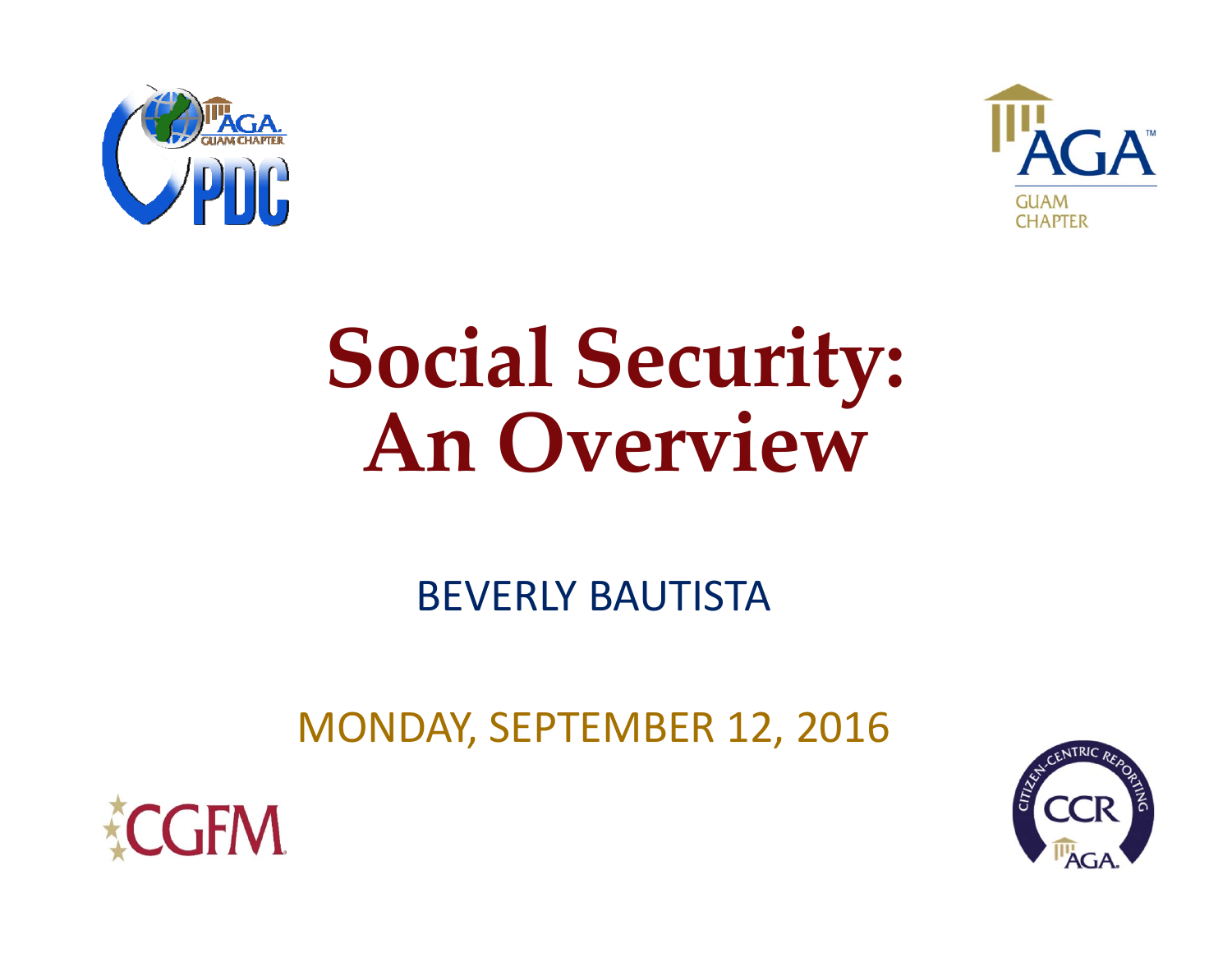



# **Social Security: An Overview**

BEVERLY BAUTISTA

MONDAY, SEPTEMBER 12, 2016



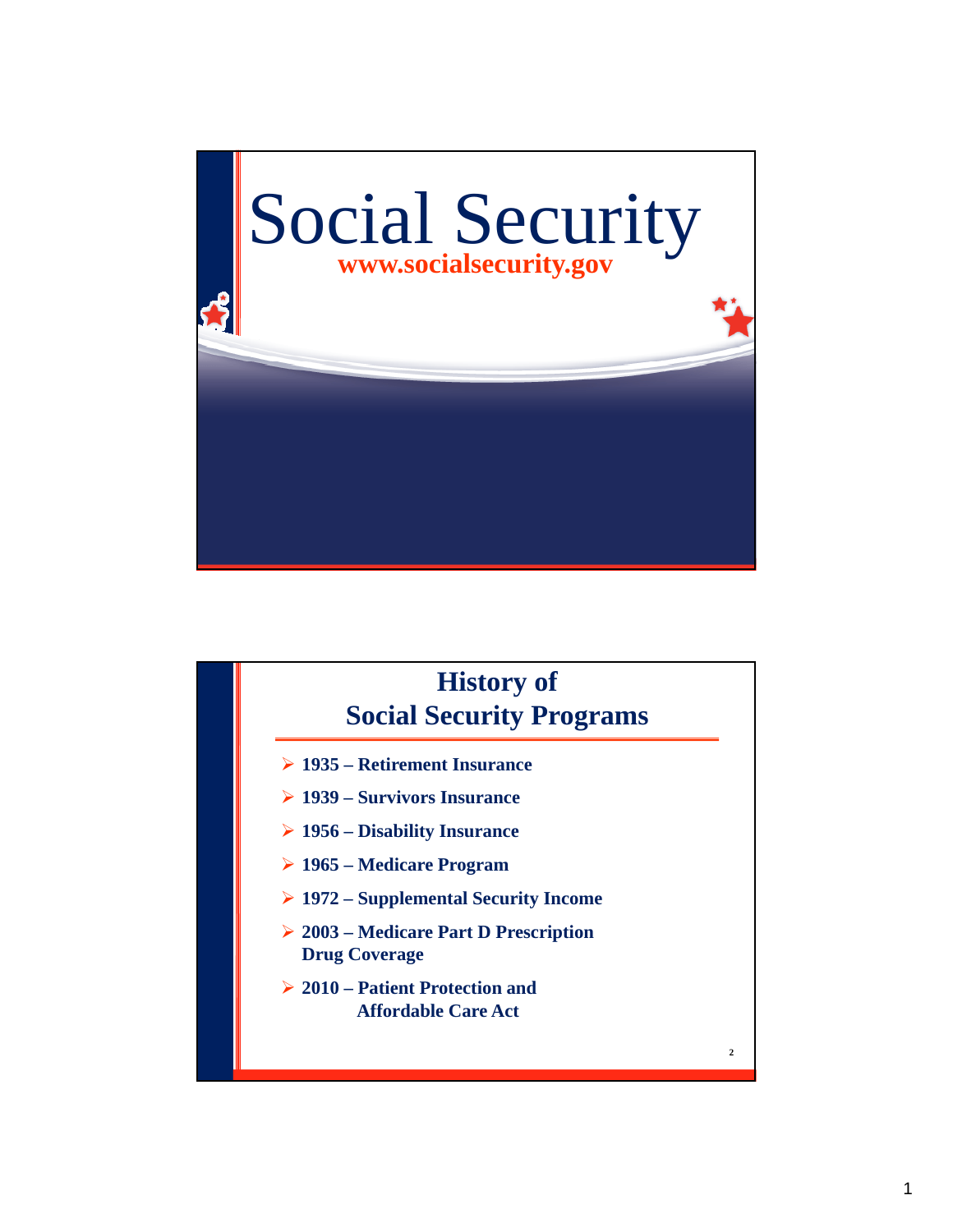

# **2 1935 – Retirement Insurance 1939 – Survivors Insurance 1956 – Disability Insurance 1965 – Medicare Program 1972 – Supplemental Security Income 2003 – Medicare Part D Prescription Drug Coverage 2010 – Patient Protection and Affordable Care Act History of Social Security Programs**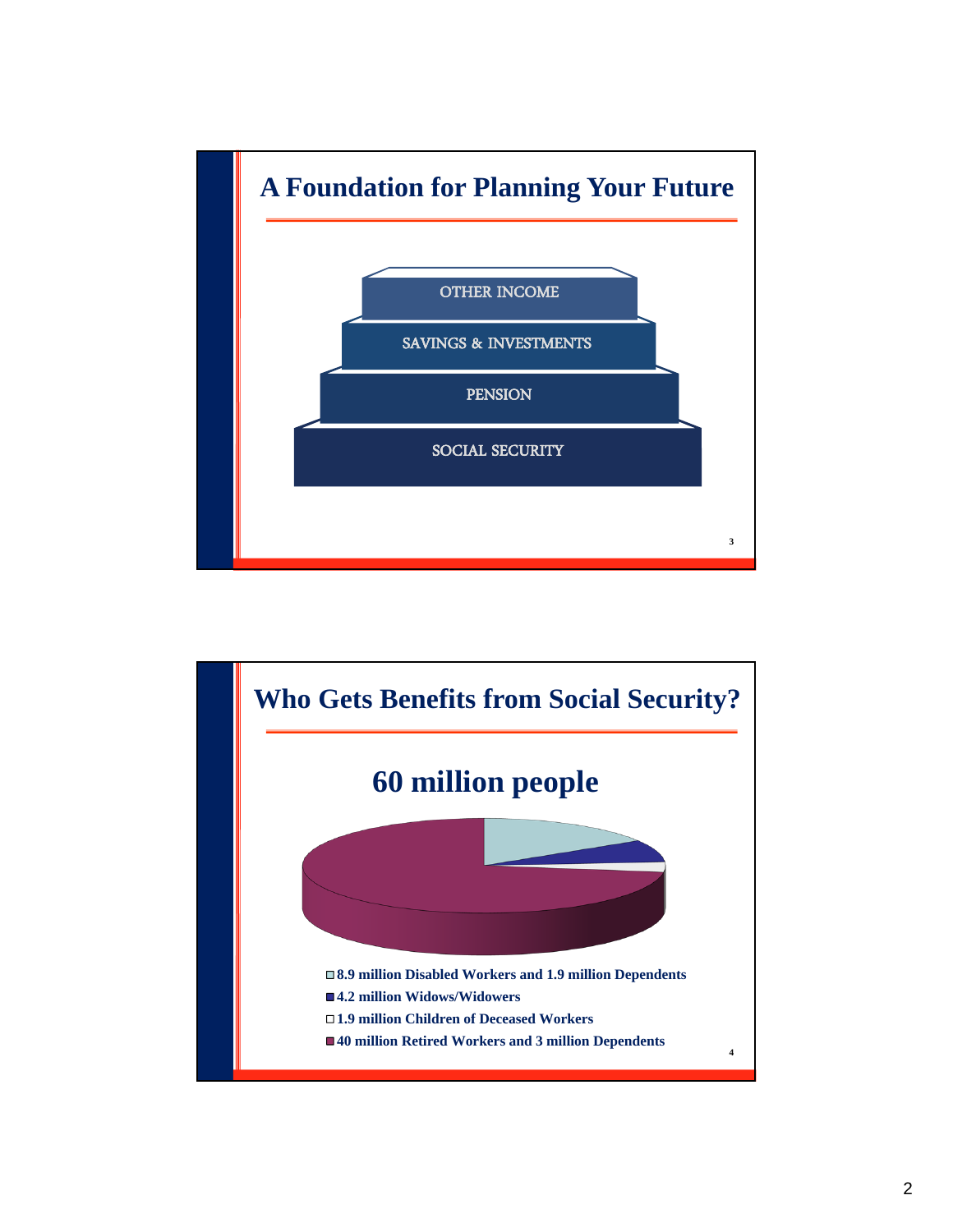

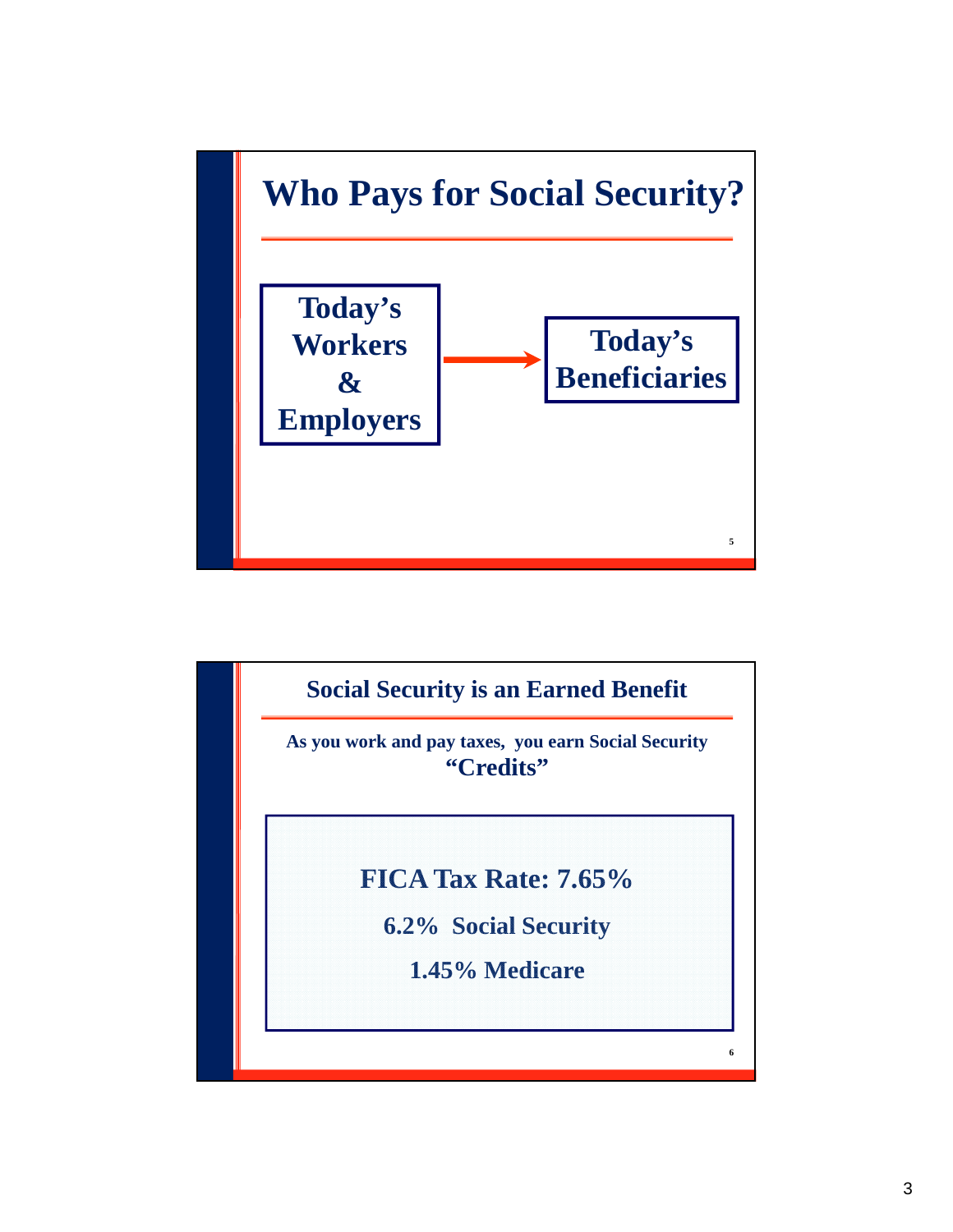

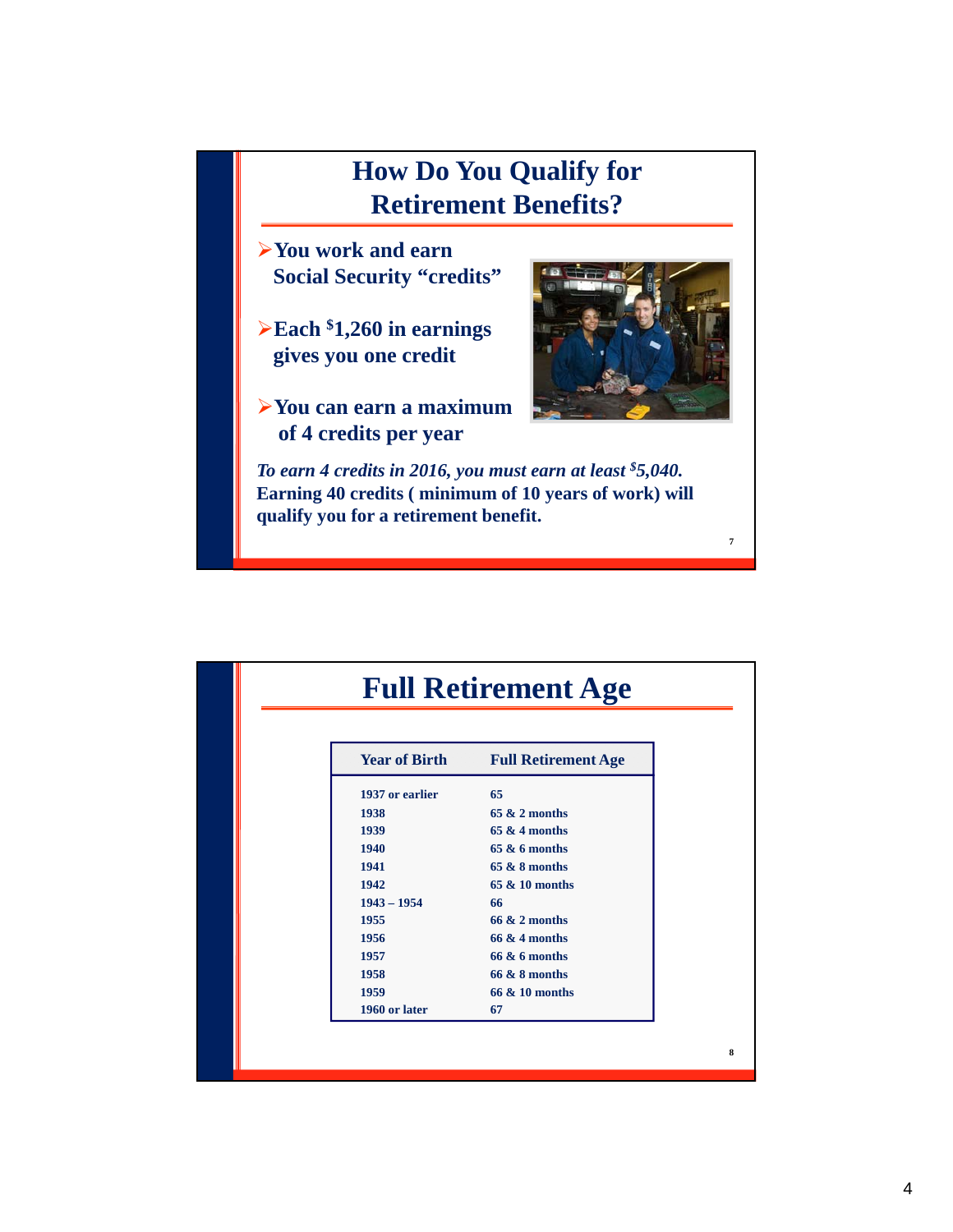# **How Do You Qualify for Retirement Benefits?**

- **You work and earn Social Security "credits"**
- **Each \$1,260 in earnings gives you one credit**
- **You can earn a maximum of 4 credits per year**



**7**

*To earn 4 credits in 2016, you must earn at least \$5,040.*  **Earning 40 credits ( minimum of 10 years of work) will qualify you for a retirement benefit.**

| <b>Year of Birth</b> | <b>Full Retirement Age</b> |
|----------------------|----------------------------|
| 1937 or earlier      | 65                         |
| 1938                 | $65 & 2$ months            |
| 1939                 | $65 & 4$ months            |
| 1940                 | $65 & 6$ months            |
| 1941                 | $65 & 8$ months            |
| 1942                 | 65 & 10 months             |
| $1943 - 1954$        | 66                         |
| 1955                 | $66 & 2$ months            |
| 1956                 | $66 & 4$ months            |
| 1957                 | $66 & 6$ months            |
| 1958                 | $66 & 8$ months            |
| 1959                 | 66 & 10 months             |
| 1960 or later        | 67                         |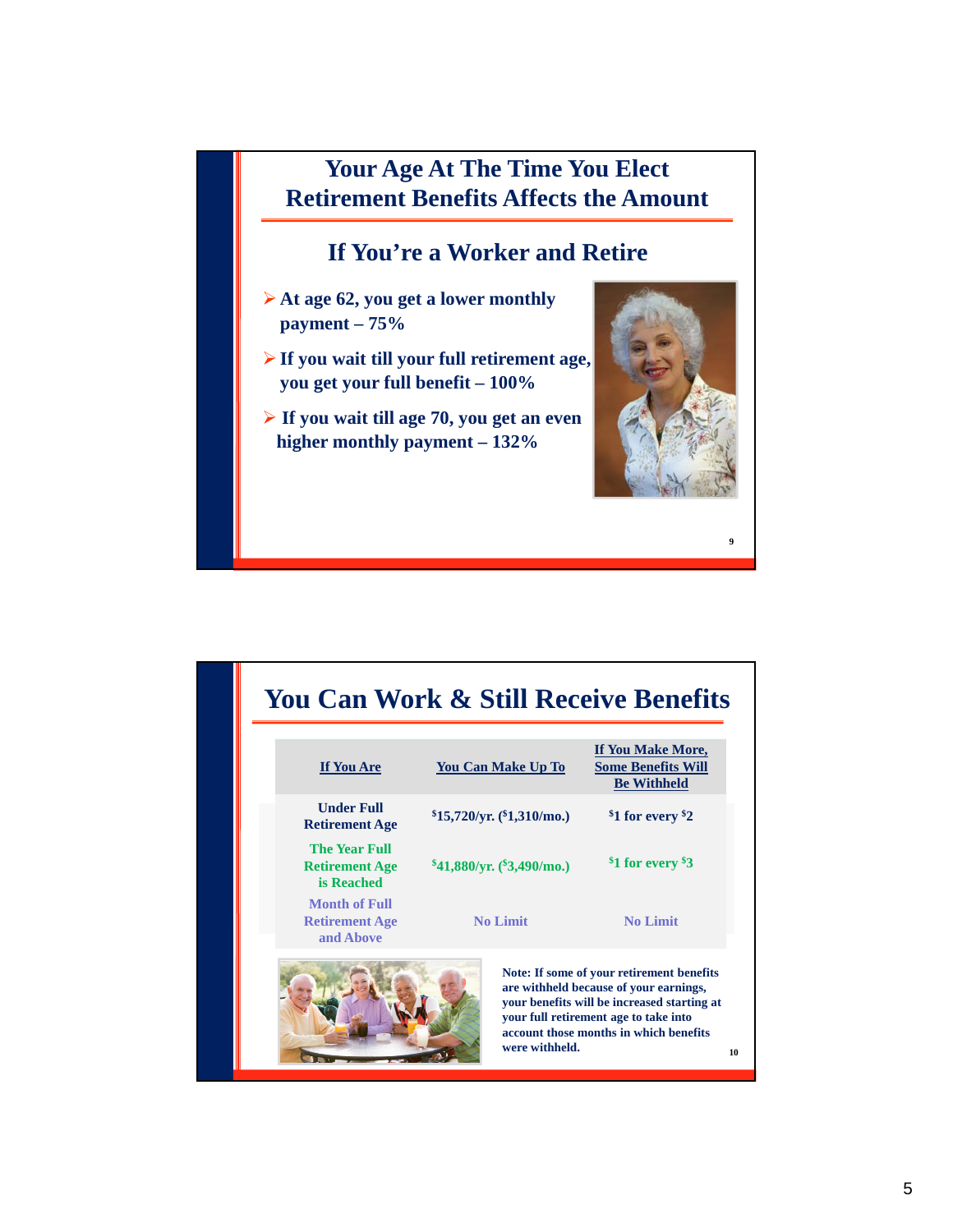## **Your Age At The Time You Elect Retirement Benefits Affects the Amount**

## **If You're a Worker and Retire**

- **At age 62, you get a lower monthly payment – 75%**
- **If you wait till your full retirement age, you get your full benefit – 100%**
- **If you wait till age 70, you get an even higher monthly payment – 132%**



| <b>You Can Work &amp; Still Receive Benefits</b>            |                                |                                                                                                                                                                                                                             |
|-------------------------------------------------------------|--------------------------------|-----------------------------------------------------------------------------------------------------------------------------------------------------------------------------------------------------------------------------|
| If You Are                                                  | <b>You Can Make Up To</b>      | If You Make More,<br><b>Some Benefits Will</b><br><b>Be Withheld</b>                                                                                                                                                        |
| <b>Under Full</b><br><b>Retirement Age</b>                  | $$15,720/yr.$ ( $$1,310/mo.$ ) | <sup>\$</sup> 1 for every <sup>\$2</sup>                                                                                                                                                                                    |
| <b>The Year Full</b><br><b>Retirement Age</b><br>is Reached | $$41,880/yr.$ ( $$3,490/mo.$ ) | <sup>\$1</sup> for every \$3                                                                                                                                                                                                |
| Month of Full<br><b>Retirement Age</b><br>and Above         | <b>No Limit</b>                | <b>No Limit</b>                                                                                                                                                                                                             |
|                                                             | were withheld.                 | Note: If some of your retirement benefits<br>are withheld because of your earnings,<br>your benefits will be increased starting at<br>your full retirement age to take into<br>account those months in which benefits<br>10 |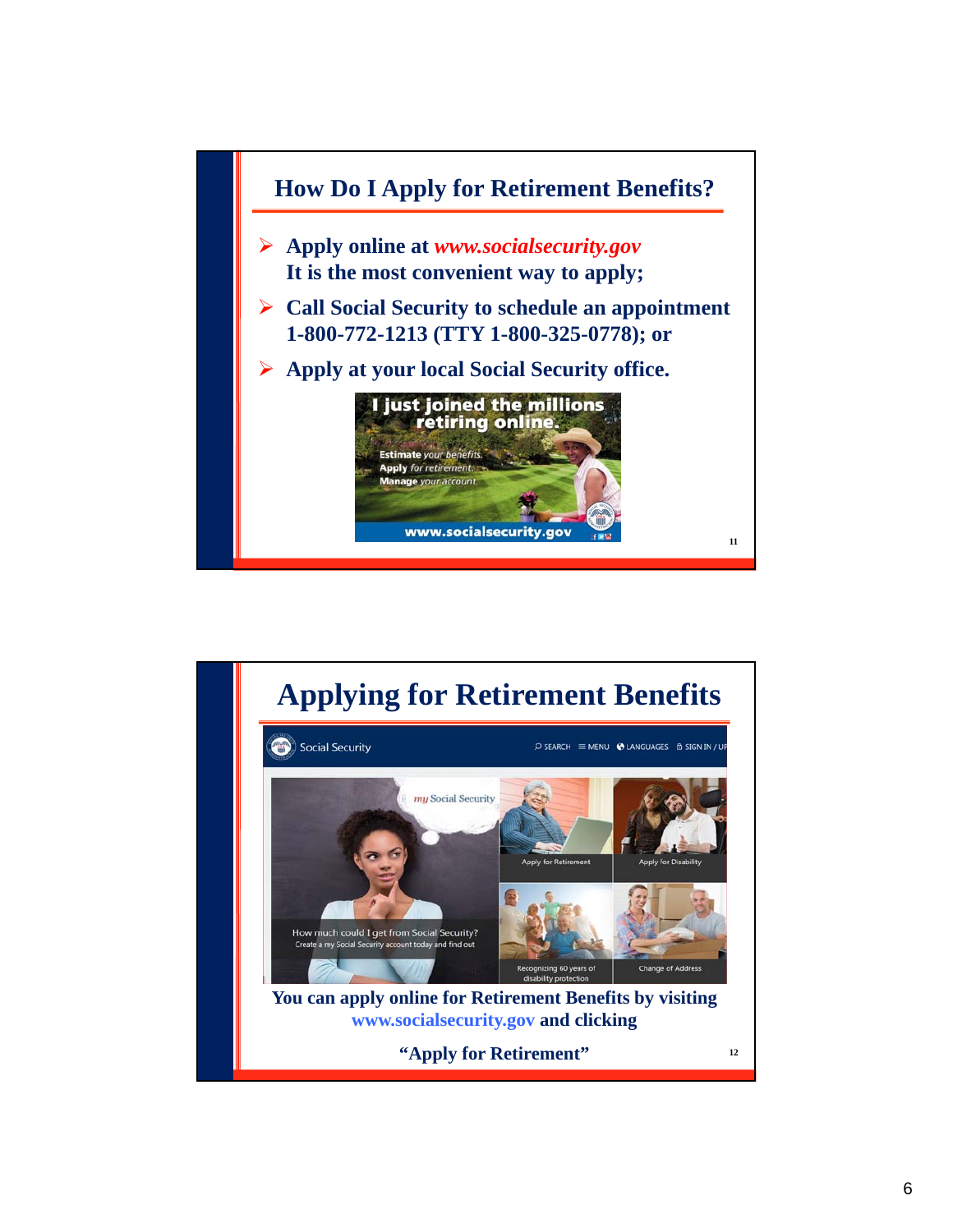

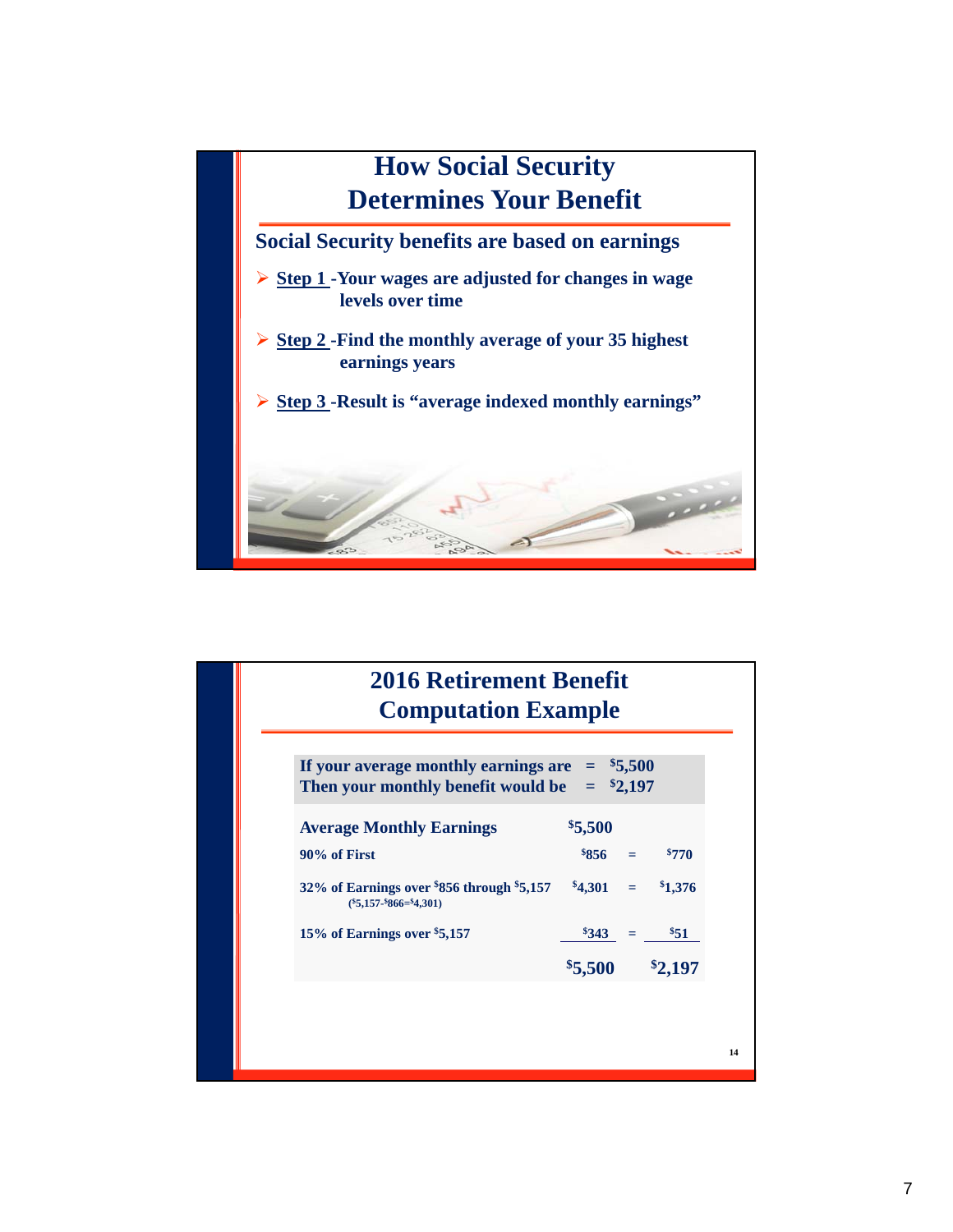

| If your average monthly earnings are $=$ \$5,500<br>Then your monthly benefit would be $=$ \$2,197 |            |  |                 |  |
|----------------------------------------------------------------------------------------------------|------------|--|-----------------|--|
| <b>Average Monthly Earnings</b>                                                                    | \$5,500    |  |                 |  |
| 90% of First                                                                                       |            |  | $\$856 = \$770$ |  |
| $32\%$ of Earnings over $856$ through $5,157$<br>$(*5,157.*866={}^24,301)$                         | $$4,301 =$ |  | \$1,376         |  |
| 15% of Earnings over \$5,157                                                                       | $8343 =$   |  | \$51            |  |
|                                                                                                    | \$5,500    |  | \$2,197         |  |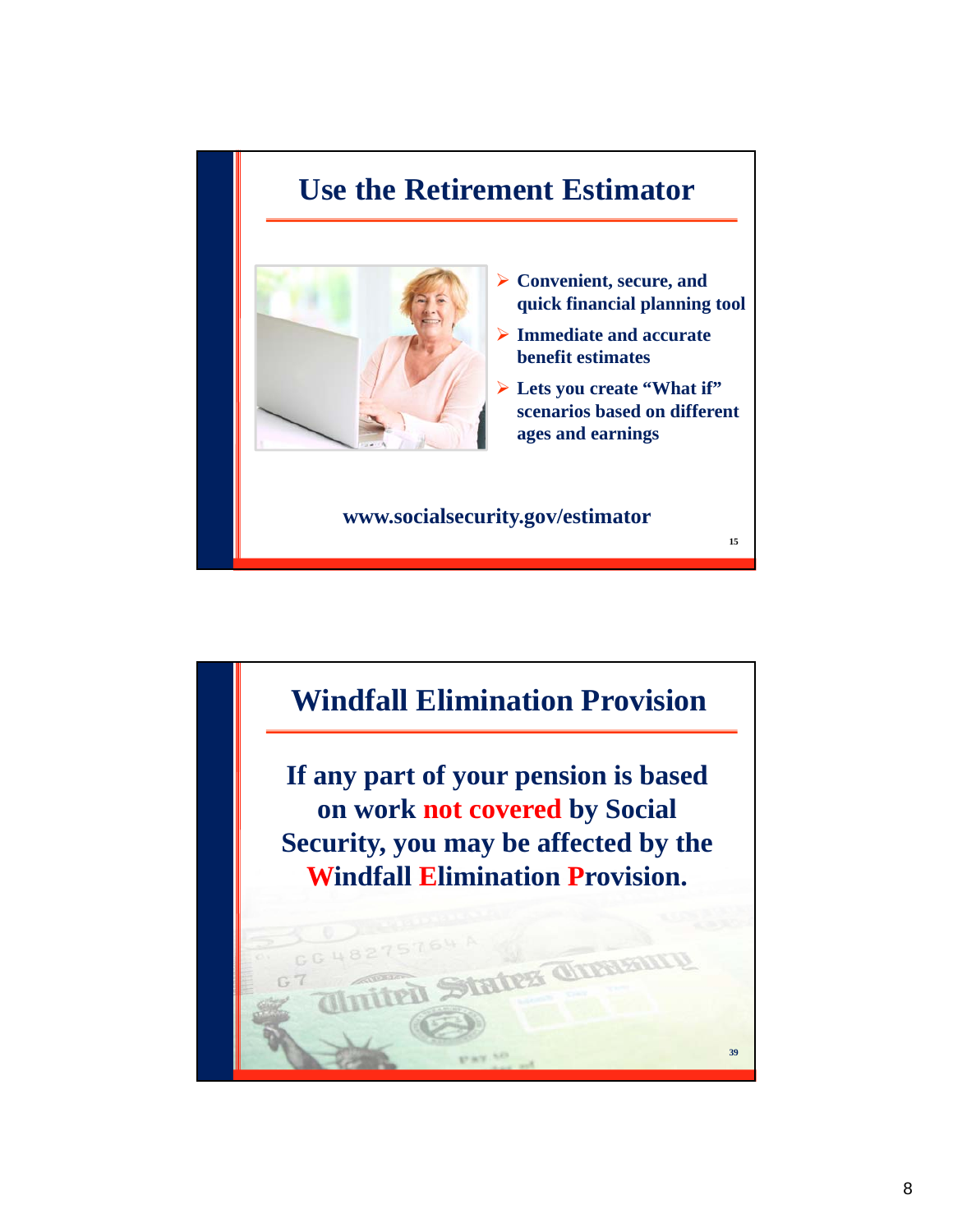# **Use the Retirement Estimator**



- **Convenient, secure, and quick financial planning tool**
- **Immediate and accurate benefit estimates**
- **Lets you create "What if" scenarios based on different ages and earnings**

**15**

**www.socialsecurity.gov/estimator**

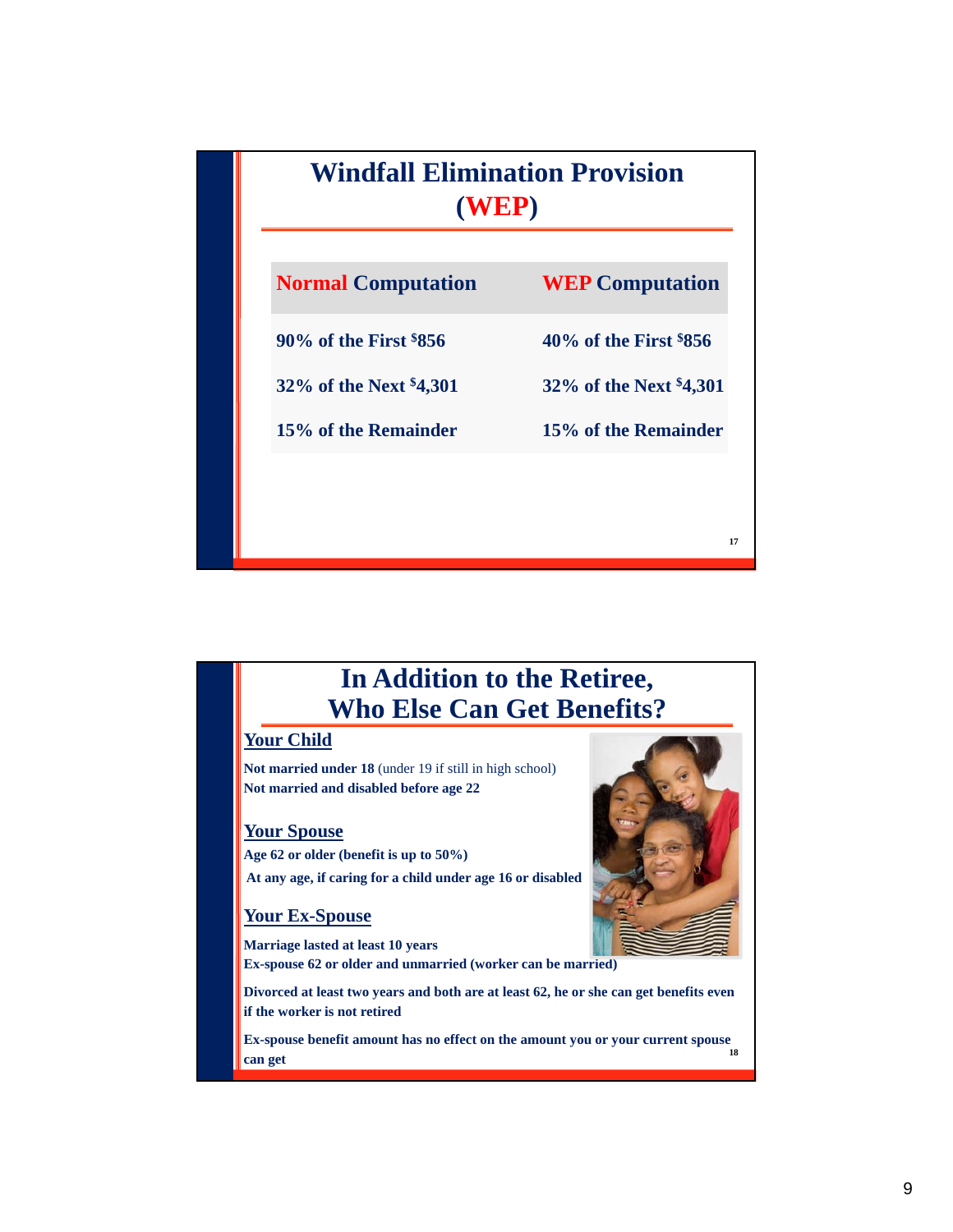

## **In Addition to the Retiree, Who Else Can Get Benefits?**

## **Your Child**

**Not married under 18** (under 19 if still in high school) **Not married and disabled before age 22**

## **Your Spouse**

**Age 62 or older (benefit is up to 50%) At any age, if caring for a child under age 16 or disabled**

## **Your Ex-Spouse**

**Marriage lasted at least 10 years**

**Ex-spouse 62 or older and unmarried (worker can be married)**

**Divorced at least two years and both are at least 62, he or she can get benefits even if the worker is not retired**

**18 Ex-spouse benefit amount has no effect on the amount you or your current spouse can get**

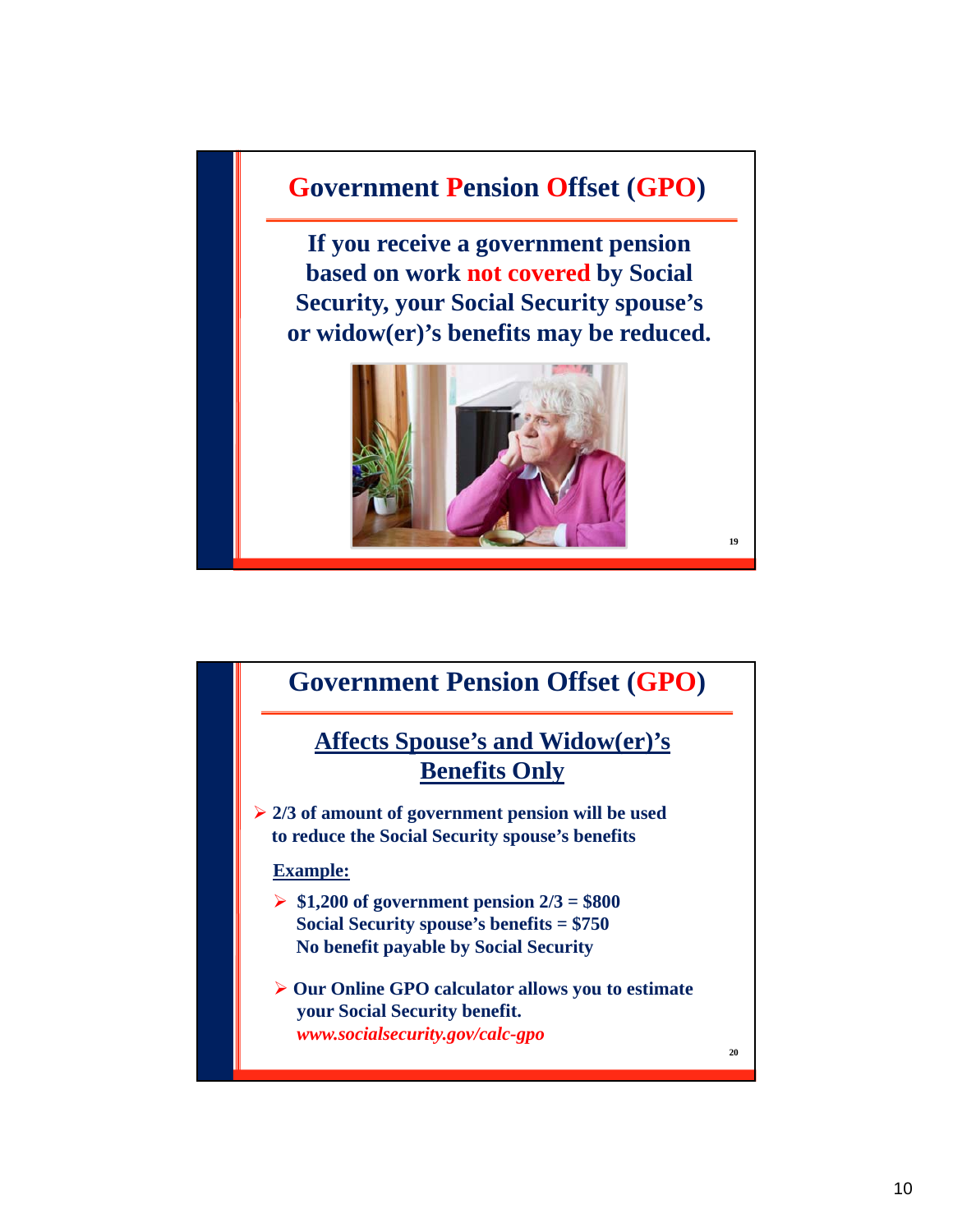## **Government Pension Offset (GPO)**

**If you receive a government pension based on work not covered by Social Security, your Social Security spouse's or widow(er)'s benefits may be reduced.**



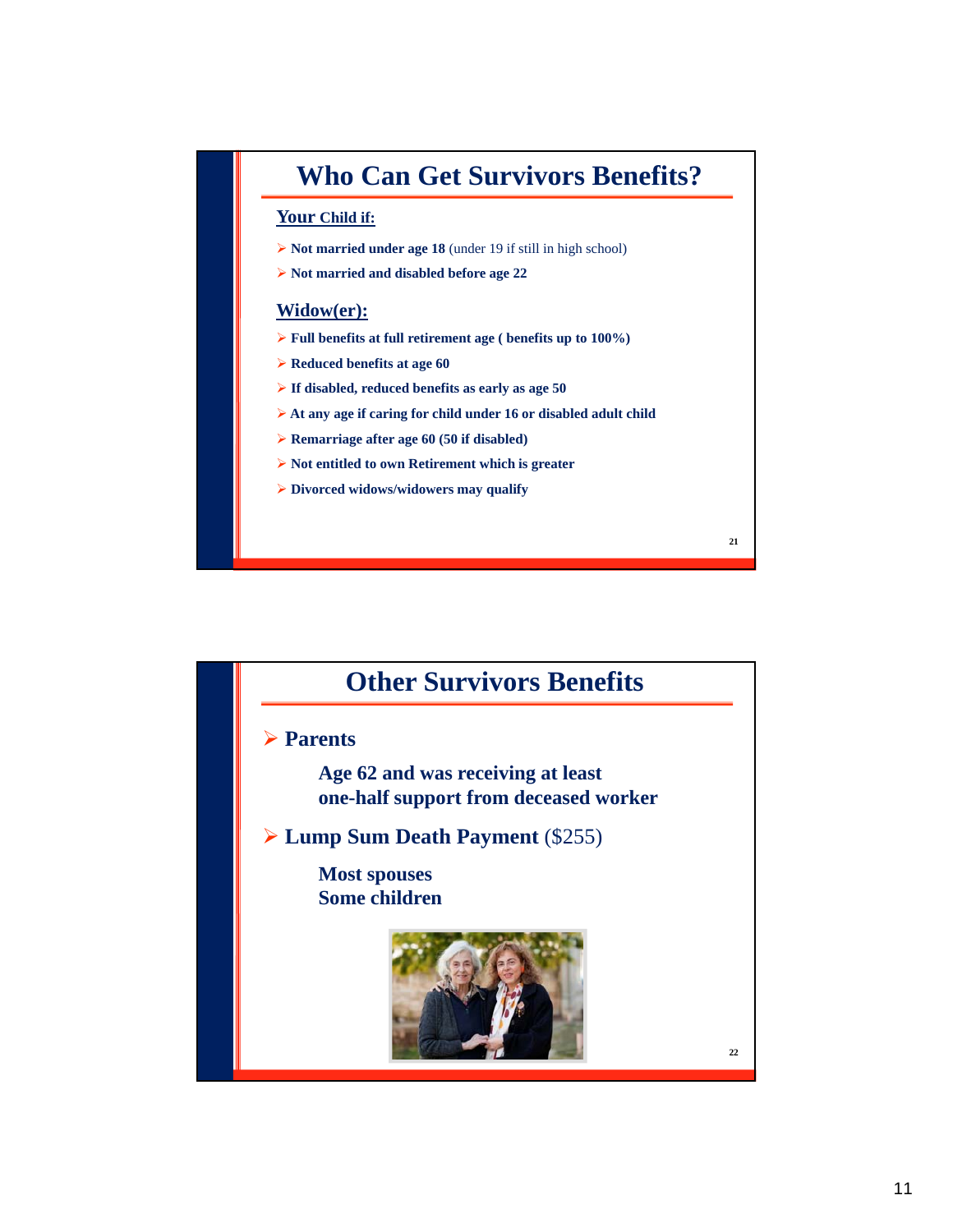# **Who Can Get Survivors Benefits?**

## **Your Child if:**

- **Not married under age 18** (under 19 if still in high school)
- **Not married and disabled before age 22**

## **Widow(er):**

- **Full benefits at full retirement age ( benefits up to 100%)**
- **Reduced benefits at age 60**
- **If disabled, reduced benefits as early as age 50**
- **At any age if caring for child under 16 or disabled adult child**

- **Remarriage after age 60 (50 if disabled)**
- **► Not entitled to own Retirement which is greater**
- **Divorced widows/widowers may qualify**

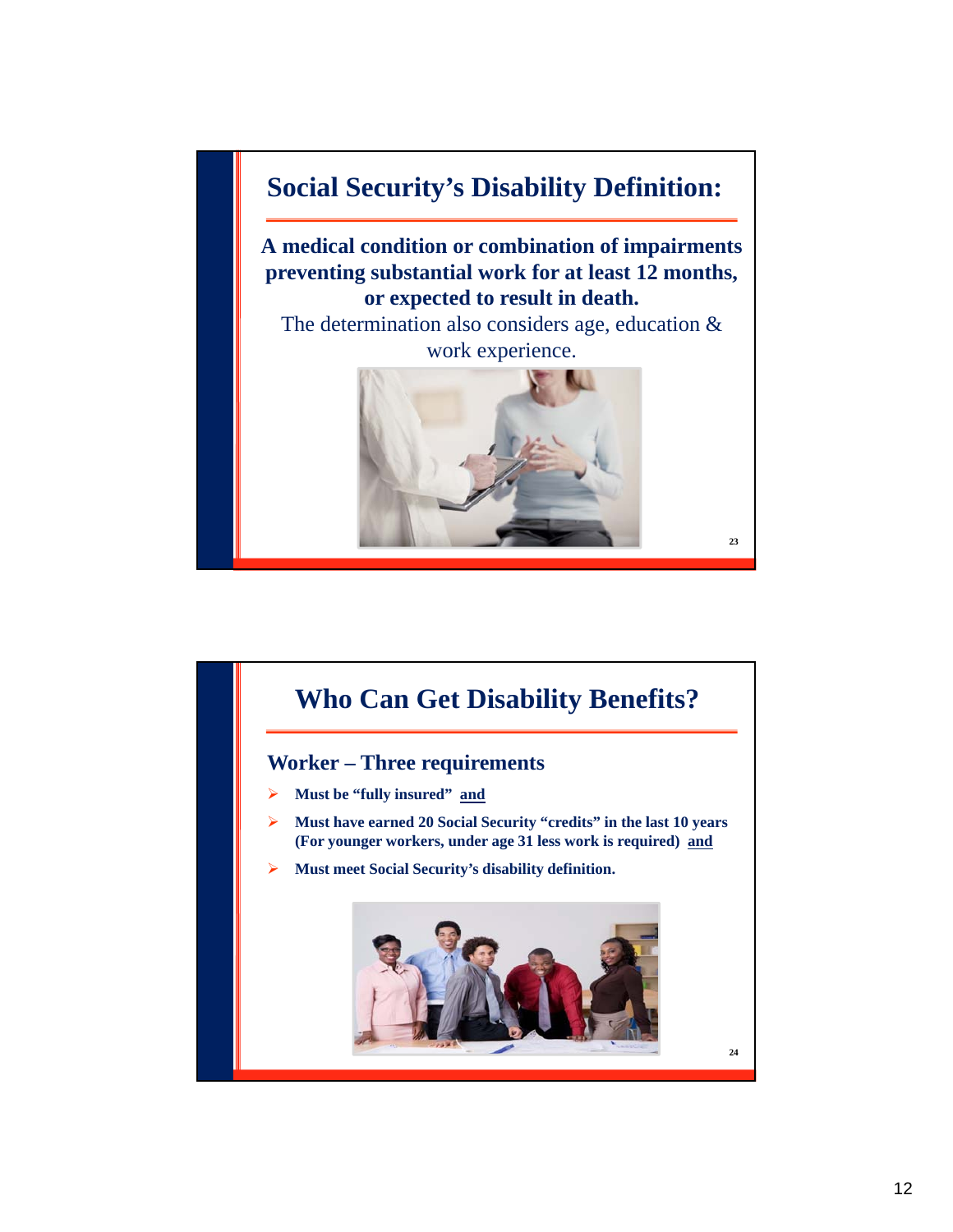

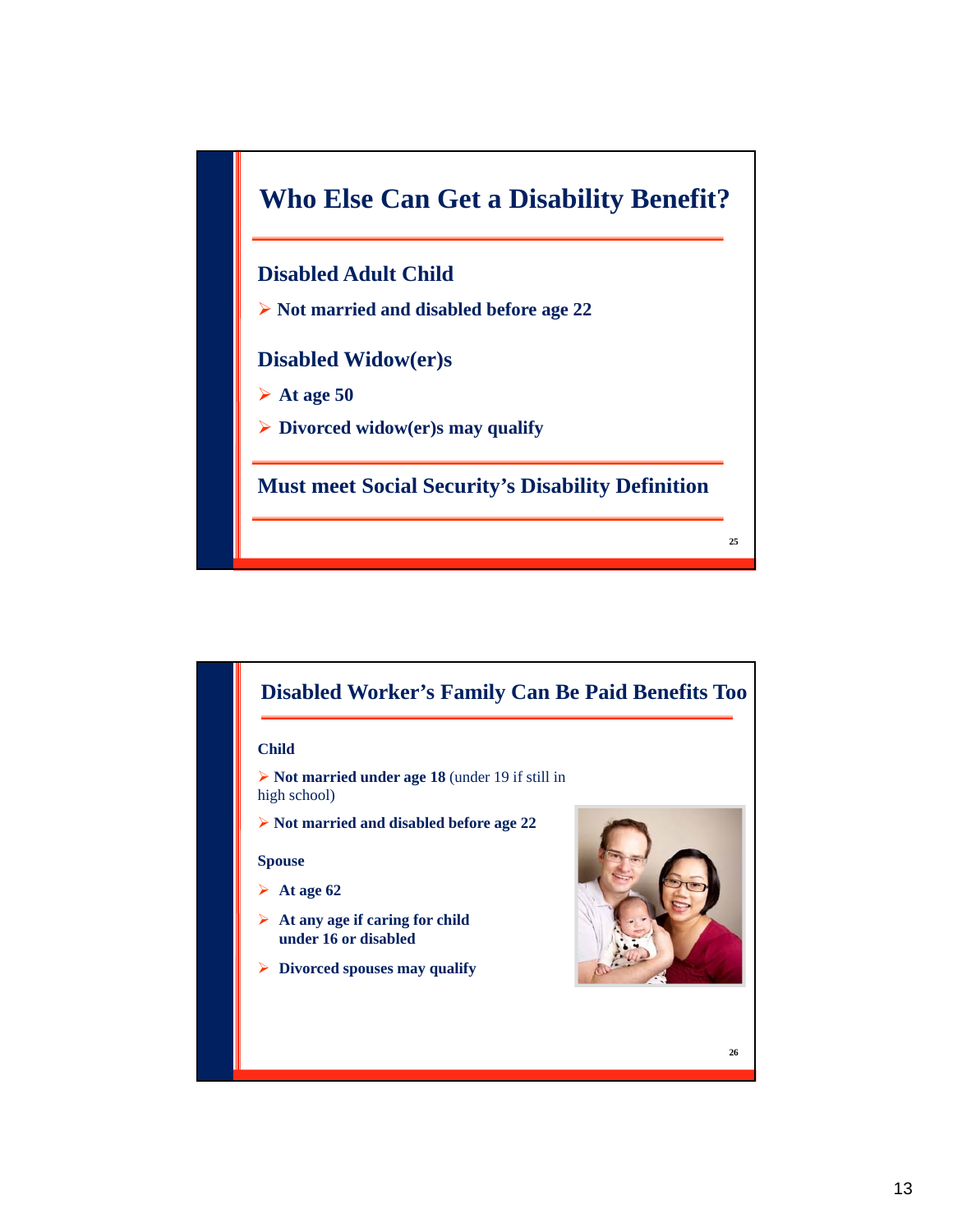



### **Child**

 **Not married under age 18** (under 19 if still in high school)

**Not married and disabled before age 22**

#### **Spouse**

- $\blacktriangleright$  At age 62
- **At any age if caring for child under 16 or disabled**
- **Divorced spouses may qualify**

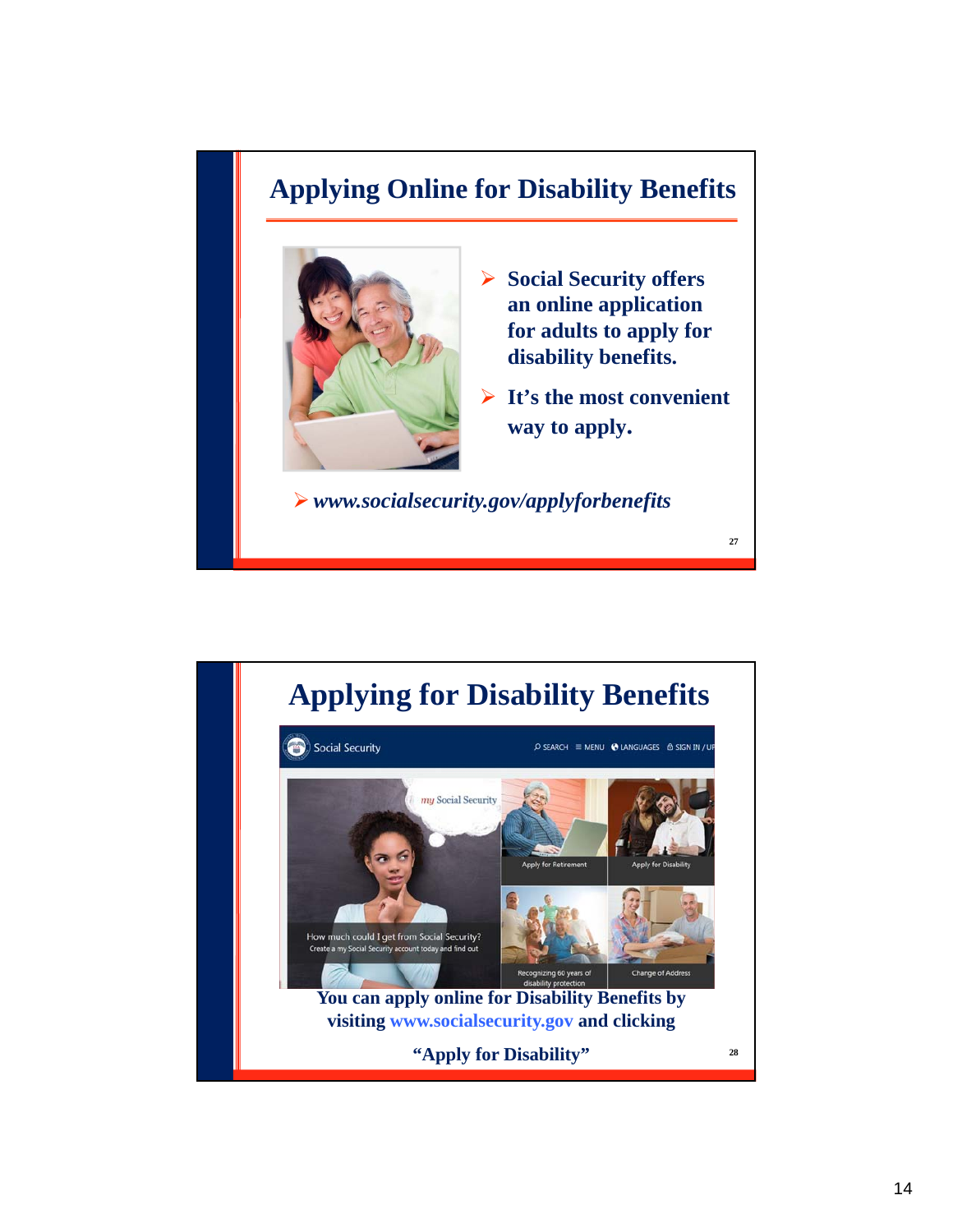# **Applying Online for Disability Benefits**



- **Social Security offers an online application for adults to apply for disability benefits.**
- **It's the most convenient way to apply.**

**27**

*www.socialsecurity.gov/applyforbenefits*

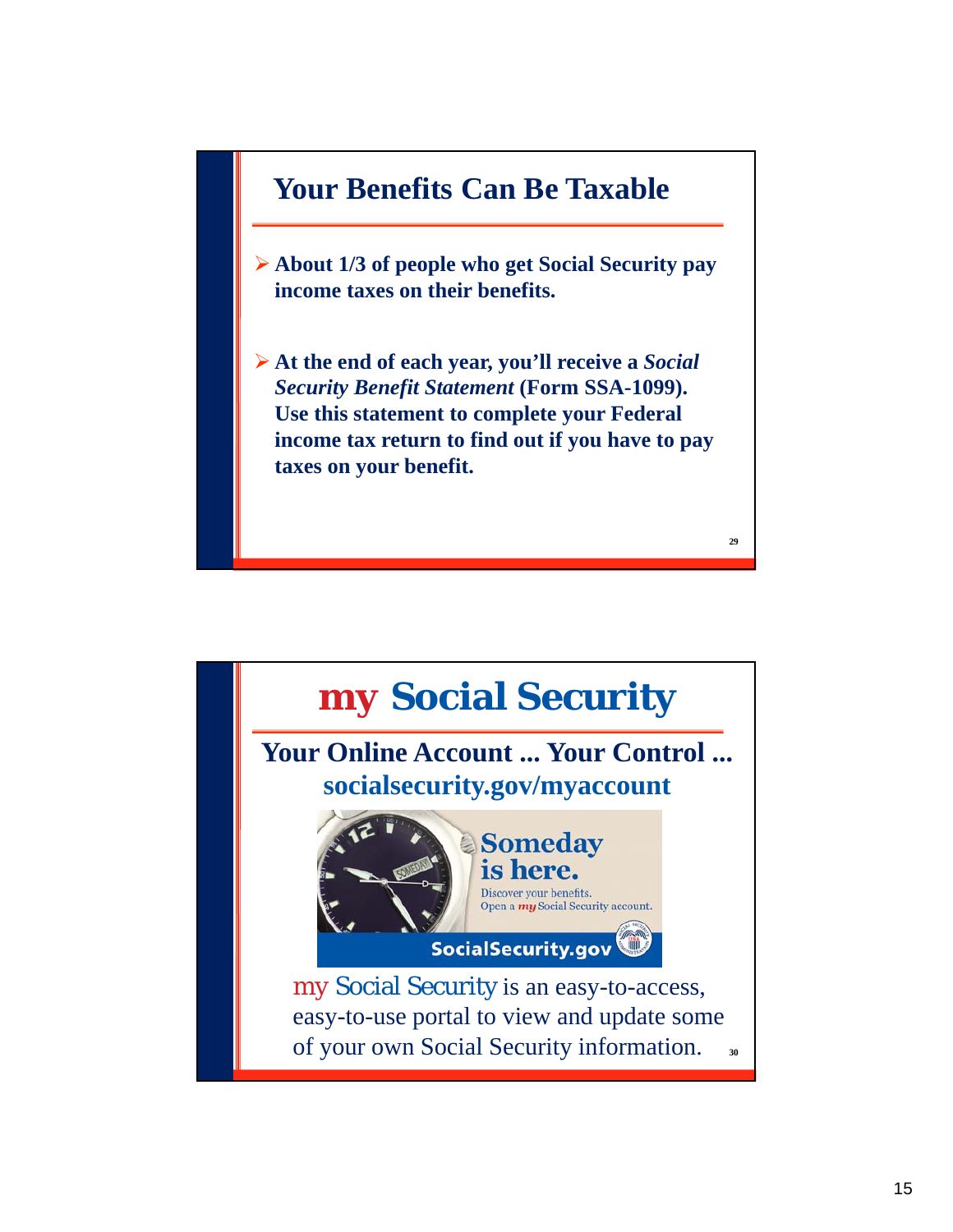

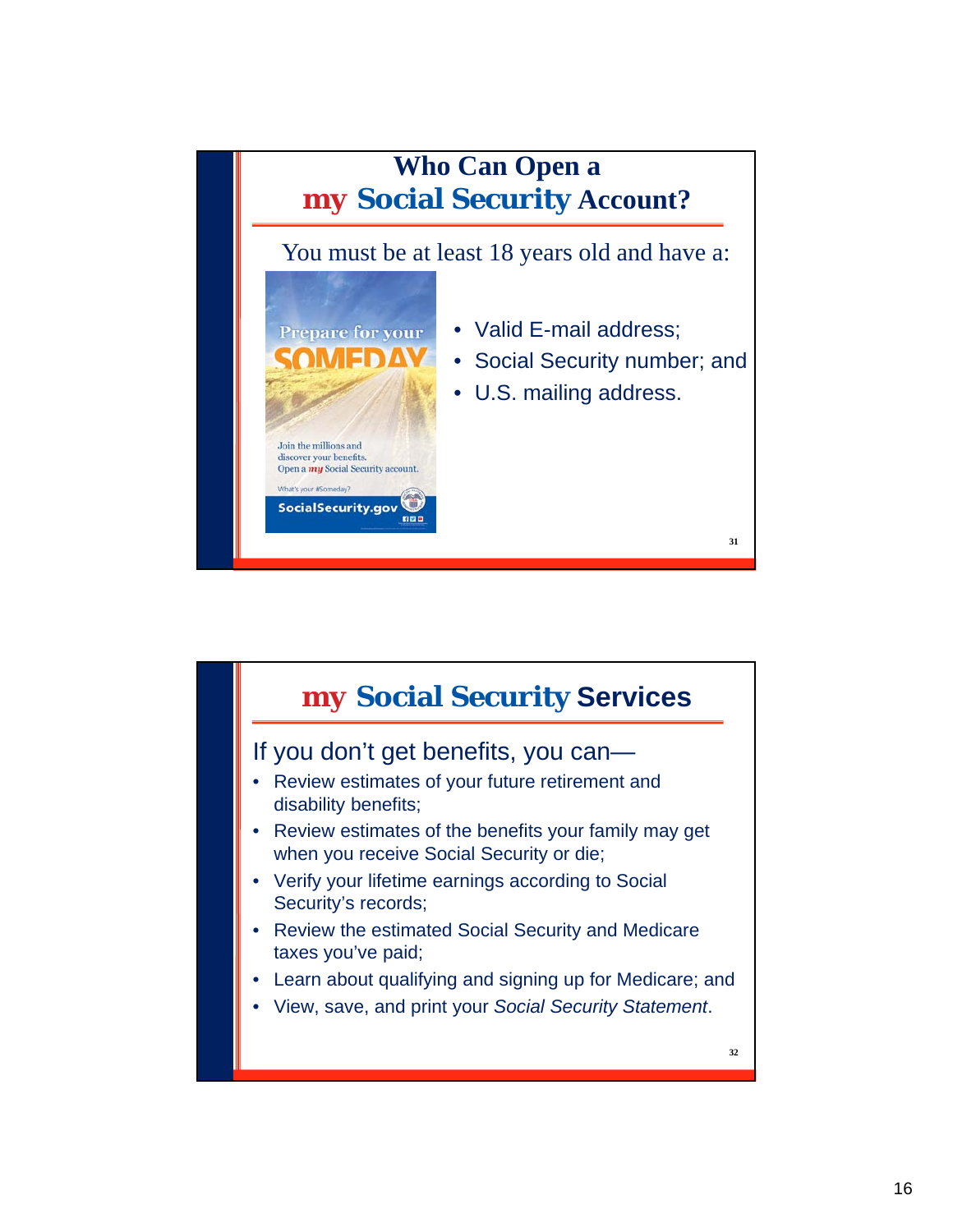

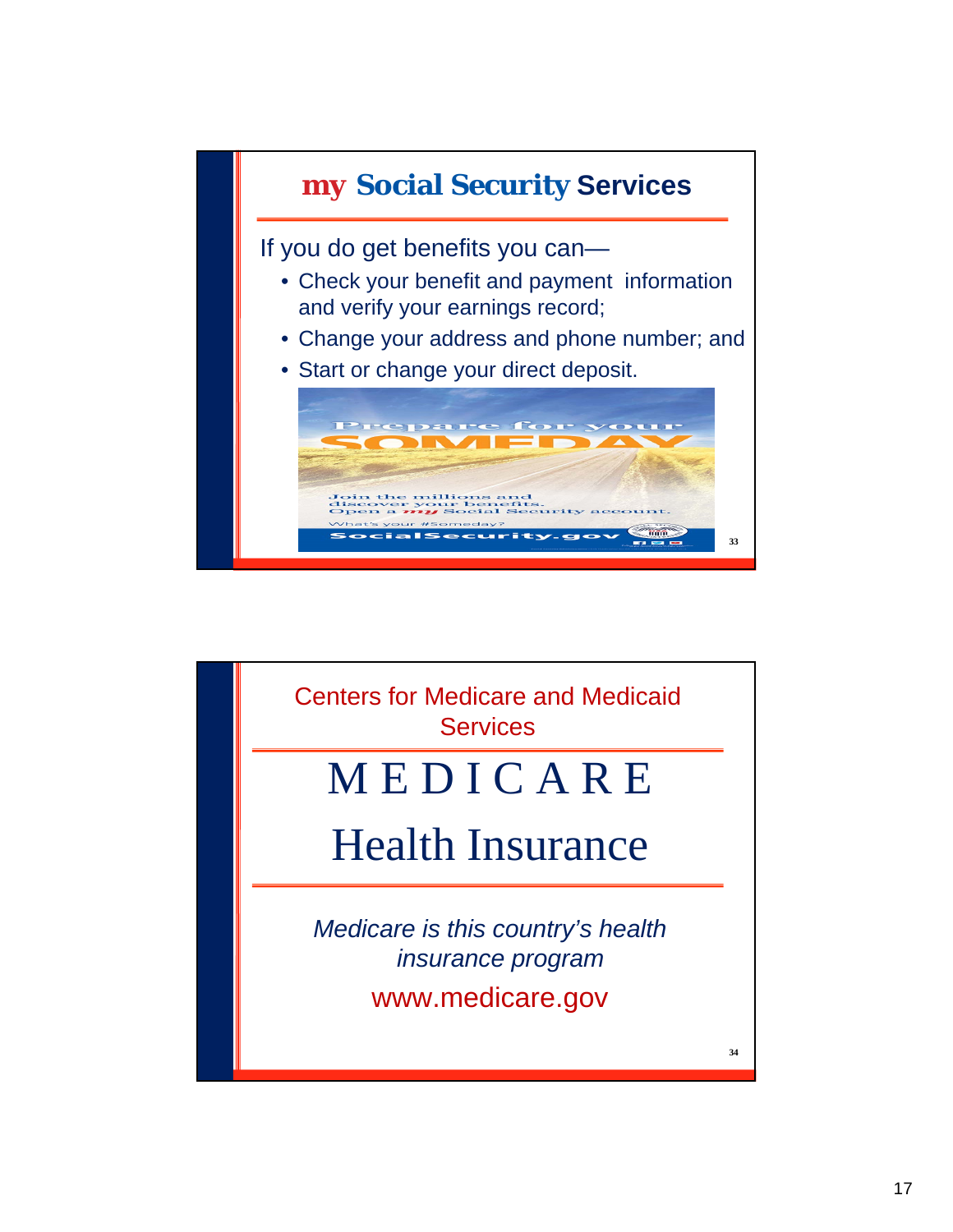

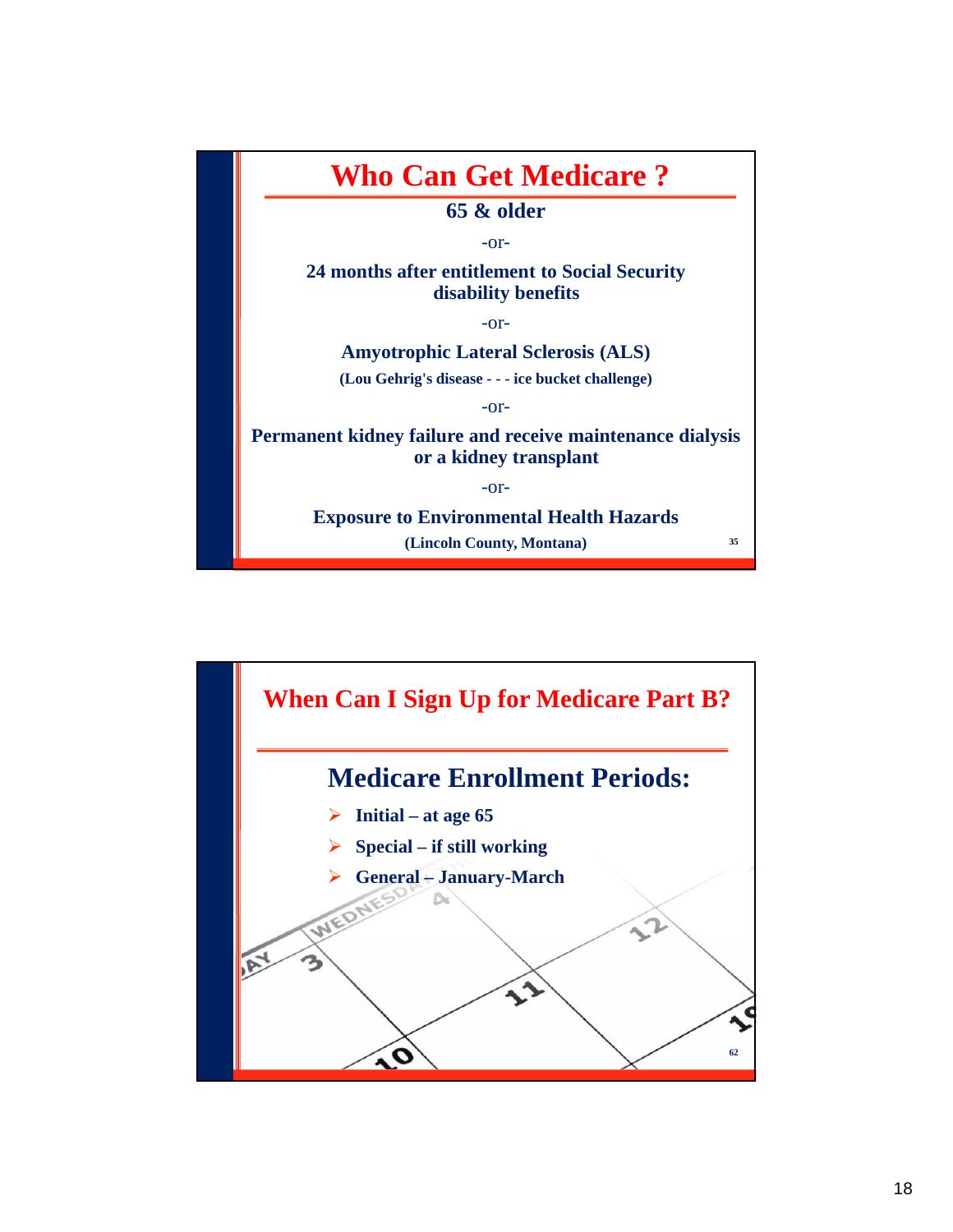

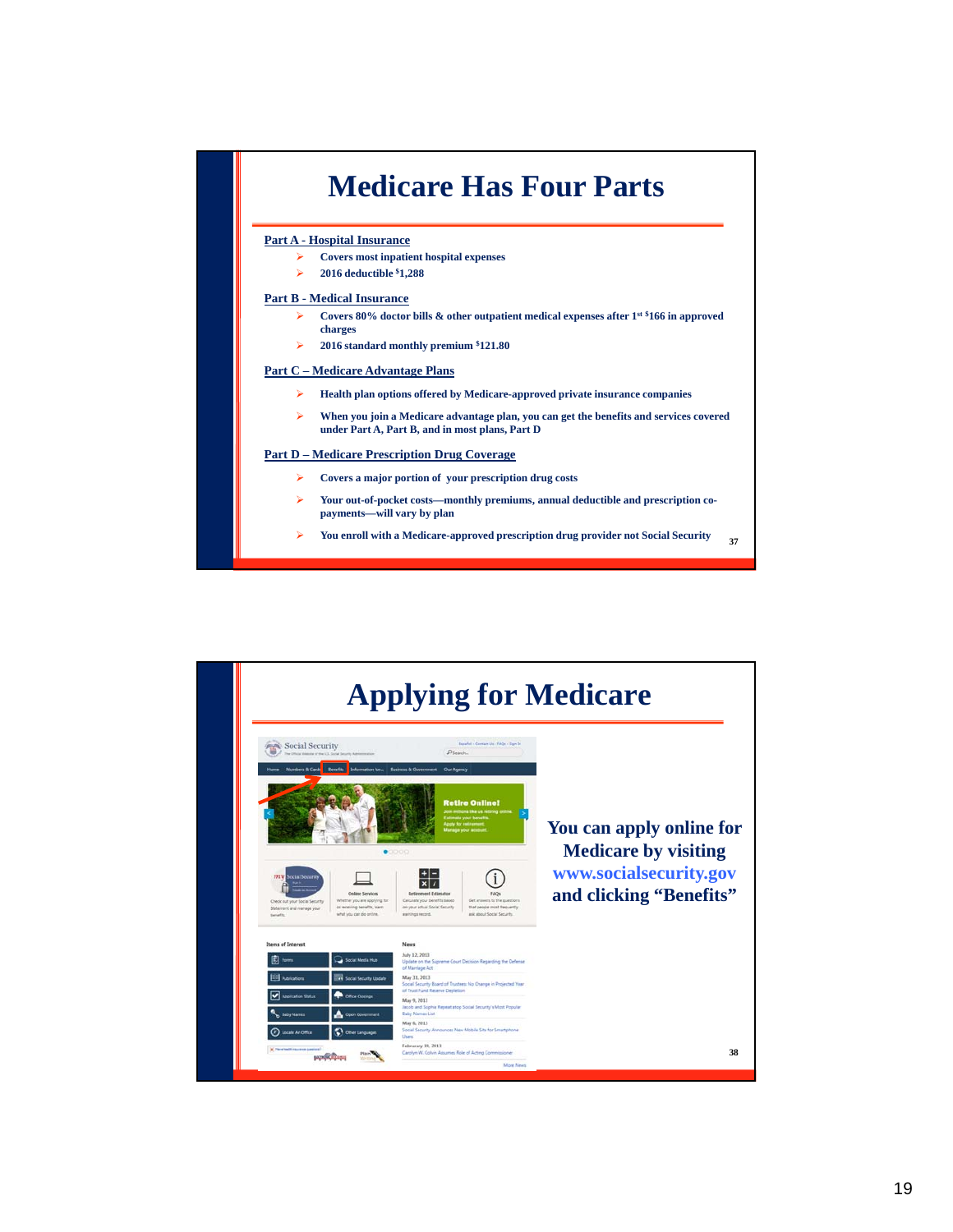# **Medicare Has Four Parts**

#### **Part A - Hospital Insurance**

- **Covers most inpatient hospital expenses**
- **2016 deductible \$1,288**

#### **Part B - Medical Insurance**

- **Covers 80% doctor bills & other outpatient medical expenses after 1st \$166 in approved charges**
- **2016 standard monthly premium \$121.80**

#### **Part C – Medicare Advantage Plans**

- **Health plan options offered by Medicare-approved private insurance companies**
- **When you join a Medicare advantage plan, you can get the benefits and services covered under Part A, Part B, and in most plans, Part D**

#### **Part D – Medicare Prescription Drug Coverage**

- **Covers a major portion of your prescription drug costs**
- **Your out-of-pocket costs—monthly premiums, annual deductible and prescription copayments—will vary by plan**
- **37 You enroll with a Medicare-approved prescription drug provider not Social Security**

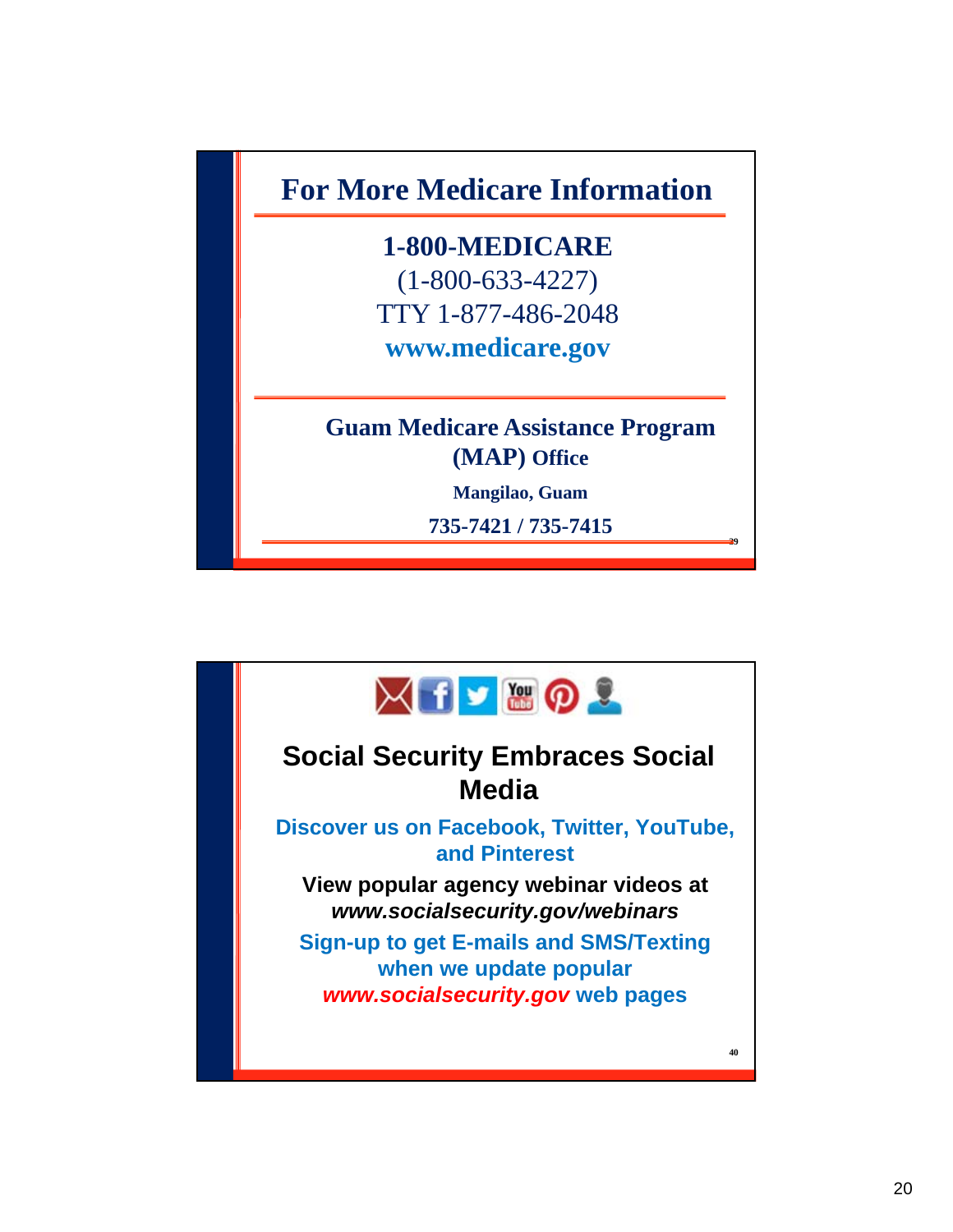**For More Medicare Information**

**1-800-MEDICARE** (1-800-633-4227) TTY 1-877-486-2048 **www.medicare.gov**

**Guam Medicare Assistance Program (MAP) Office**

**Mangilao, Guam** 

**735-7421 / 735-7415**